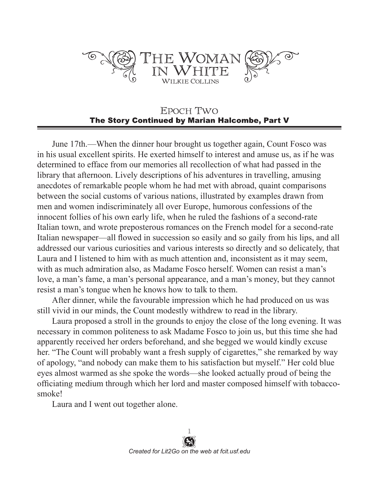

## EPOCH TWO The Story Continued by Marian Halcombe, Part V

June 17th.—When the dinner hour brought us together again, Count Fosco was in his usual excellent spirits. He exerted himself to interest and amuse us, as if he was determined to efface from our memories all recollection of what had passed in the library that afternoon. Lively descriptions of his adventures in travelling, amusing anecdotes of remarkable people whom he had met with abroad, quaint comparisons between the social customs of various nations, illustrated by examples drawn from men and women indiscriminately all over Europe, humorous confessions of the innocent follies of his own early life, when he ruled the fashions of a second-rate Italian town, and wrote preposterous romances on the French model for a second-rate Italian newspaper—all flowed in succession so easily and so gaily from his lips, and all addressed our various curiosities and various interests so directly and so delicately, that Laura and I listened to him with as much attention and, inconsistent as it may seem, with as much admiration also, as Madame Fosco herself. Women can resist a man's love, a man's fame, a man's personal appearance, and a man's money, but they cannot resist a man's tongue when he knows how to talk to them.

After dinner, while the favourable impression which he had produced on us was still vivid in our minds, the Count modestly withdrew to read in the library.

Laura proposed a stroll in the grounds to enjoy the close of the long evening. It was necessary in common politeness to ask Madame Fosco to join us, but this time she had apparently received her orders beforehand, and she begged we would kindly excuse her. "The Count will probably want a fresh supply of cigarettes," she remarked by way of apology, "and nobody can make them to his satisfaction but myself." Her cold blue eyes almost warmed as she spoke the words—she looked actually proud of being the officiating medium through which her lord and master composed himself with tobaccosmoke!

Laura and I went out together alone.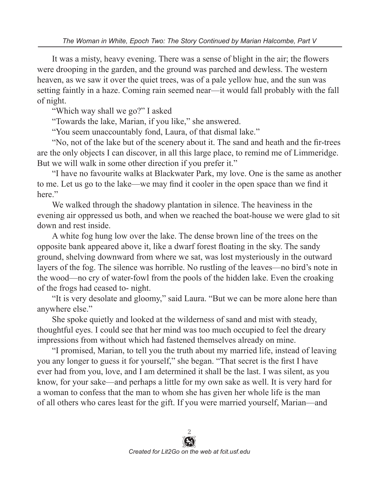It was a misty, heavy evening. There was a sense of blight in the air; the flowers were drooping in the garden, and the ground was parched and dewless. The western heaven, as we saw it over the quiet trees, was of a pale yellow hue, and the sun was setting faintly in a haze. Coming rain seemed near—it would fall probably with the fall of night.

"Which way shall we go?" I asked

"Towards the lake, Marian, if you like," she answered.

"You seem unaccountably fond, Laura, of that dismal lake."

"No, not of the lake but of the scenery about it. The sand and heath and the fir-trees are the only objects I can discover, in all this large place, to remind me of Limmeridge. But we will walk in some other direction if you prefer it."

"I have no favourite walks at Blackwater Park, my love. One is the same as another to me. Let us go to the lake—we may find it cooler in the open space than we find it here."

We walked through the shadowy plantation in silence. The heaviness in the evening air oppressed us both, and when we reached the boat-house we were glad to sit down and rest inside.

A white fog hung low over the lake. The dense brown line of the trees on the opposite bank appeared above it, like a dwarf forest floating in the sky. The sandy ground, shelving downward from where we sat, was lost mysteriously in the outward layers of the fog. The silence was horrible. No rustling of the leaves—no bird's note in the wood—no cry of water-fowl from the pools of the hidden lake. Even the croaking of the frogs had ceased to- night.

"It is very desolate and gloomy," said Laura. "But we can be more alone here than anywhere else."

She spoke quietly and looked at the wilderness of sand and mist with steady, thoughtful eyes. I could see that her mind was too much occupied to feel the dreary impressions from without which had fastened themselves already on mine.

"I promised, Marian, to tell you the truth about my married life, instead of leaving you any longer to guess it for yourself," she began. "That secret is the first I have ever had from you, love, and I am determined it shall be the last. I was silent, as you know, for your sake—and perhaps a little for my own sake as well. It is very hard for a woman to confess that the man to whom she has given her whole life is the man of all others who cares least for the gift. If you were married yourself, Marian—and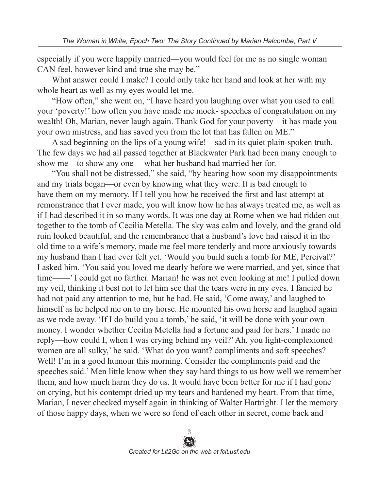especially if you were happily married—you would feel for me as no single woman CAN feel, however kind and true she may be."

What answer could I make? I could only take her hand and look at her with my whole heart as well as my eyes would let me.

"How often," she went on, "I have heard you laughing over what you used to call your 'poverty!' how often you have made me mock- speeches of congratulation on my wealth! Oh, Marian, never laugh again. Thank God for your poverty—it has made you your own mistress, and has saved you from the lot that has fallen on ME."

A sad beginning on the lips of a young wife!—sad in its quiet plain-spoken truth. The few days we had all passed together at Blackwater Park had been many enough to show me—to show any one— what her husband had married her for.

"You shall not be distressed," she said, "by hearing how soon my disappointments and my trials began—or even by knowing what they were. It is bad enough to have them on my memory. If I tell you how he received the first and last attempt at remonstrance that I ever made, you will know how he has always treated me, as well as if I had described it in so many words. It was one day at Rome when we had ridden out together to the tomb of Cecilia Metella. The sky was calm and lovely, and the grand old ruin looked beautiful, and the remembrance that a husband's love had raised it in the old time to a wife's memory, made me feel more tenderly and more anxiously towards my husband than I had ever felt yet. 'Would you build such a tomb for ME, Percival?' I asked him. 'You said you loved me dearly before we were married, and yet, since that time——' I could get no farther. Marian! he was not even looking at me! I pulled down my veil, thinking it best not to let him see that the tears were in my eyes. I fancied he had not paid any attention to me, but he had. He said, 'Come away,' and laughed to himself as he helped me on to my horse. He mounted his own horse and laughed again as we rode away. 'If I do build you a tomb,' he said, 'it will be done with your own money. I wonder whether Cecilia Metella had a fortune and paid for hers.' I made no reply—how could I, when I was crying behind my veil?' Ah, you light-complexioned women are all sulky,' he said. 'What do you want? compliments and soft speeches? Well! I'm in a good humour this morning. Consider the compliments paid and the speeches said.' Men little know when they say hard things to us how well we remember them, and how much harm they do us. It would have been better for me if I had gone on crying, but his contempt dried up my tears and hardened my heart. From that time, Marian, I never checked myself again in thinking of Walter Hartright. I let the memory of those happy days, when we were so fond of each other in secret, come back and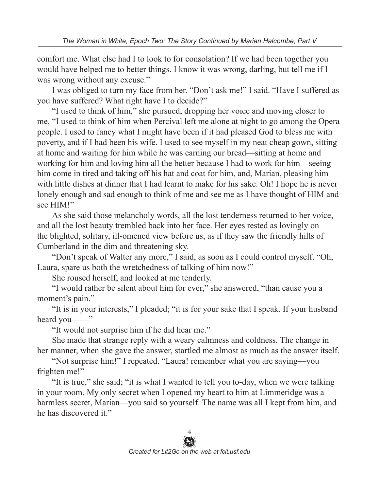comfort me. What else had I to look to for consolation? If we had been together you would have helped me to better things. I know it was wrong, darling, but tell me if I was wrong without any excuse."

I was obliged to turn my face from her. "Don't ask me!" I said. "Have I suffered as you have suffered? What right have I to decide?"

"I used to think of him," she pursued, dropping her voice and moving closer to me, "I used to think of him when Percival left me alone at night to go among the Opera people. I used to fancy what I might have been if it had pleased God to bless me with poverty, and if I had been his wife. I used to see myself in my neat cheap gown, sitting at home and waiting for him while he was earning our bread—sitting at home and working for him and loving him all the better because I had to work for him—seeing him come in tired and taking off his hat and coat for him, and, Marian, pleasing him with little dishes at dinner that I had learnt to make for his sake. Oh! I hope he is never lonely enough and sad enough to think of me and see me as I have thought of HIM and see HIM!"

As she said those melancholy words, all the lost tenderness returned to her voice, and all the lost beauty trembled back into her face. Her eyes rested as lovingly on the blighted, solitary, ill-omened view before us, as if they saw the friendly hills of Cumberland in the dim and threatening sky.

"Don't speak of Walter any more," I said, as soon as I could control myself. "Oh, Laura, spare us both the wretchedness of talking of him now!"

She roused herself, and looked at me tenderly.

"I would rather be silent about him for ever," she answered, "than cause you a moment's pain."

"It is in your interests," I pleaded; "it is for your sake that I speak. If your husband heard you——"

"It would not surprise him if he did hear me."

She made that strange reply with a weary calmness and coldness. The change in her manner, when she gave the answer, startled me almost as much as the answer itself.

"Not surprise him!" I repeated. "Laura! remember what you are saying—you frighten me!"

"It is true," she said; "it is what I wanted to tell you to-day, when we were talking in your room. My only secret when I opened my heart to him at Limmeridge was a harmless secret, Marian—you said so yourself. The name was all I kept from him, and he has discovered it."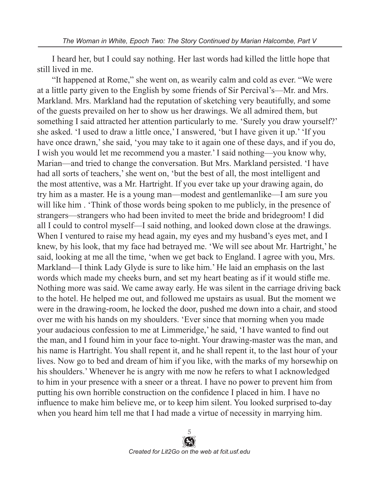I heard her, but I could say nothing. Her last words had killed the little hope that still lived in me.

"It happened at Rome," she went on, as wearily calm and cold as ever. "We were at a little party given to the English by some friends of Sir Percival's—Mr. and Mrs. Markland. Mrs. Markland had the reputation of sketching very beautifully, and some of the guests prevailed on her to show us her drawings. We all admired them, but something I said attracted her attention particularly to me. 'Surely you draw yourself?' she asked. 'I used to draw a little once,' I answered, 'but I have given it up.' 'If you have once drawn,' she said, 'you may take to it again one of these days, and if you do, I wish you would let me recommend you a master.' I said nothing—you know why, Marian—and tried to change the conversation. But Mrs. Markland persisted. 'I have had all sorts of teachers,' she went on, 'but the best of all, the most intelligent and the most attentive, was a Mr. Hartright. If you ever take up your drawing again, do try him as a master. He is a young man—modest and gentlemanlike—I am sure you will like him. Think of those words being spoken to me publicly, in the presence of strangers—strangers who had been invited to meet the bride and bridegroom! I did all I could to control myself—I said nothing, and looked down close at the drawings. When I ventured to raise my head again, my eyes and my husband's eyes met, and I knew, by his look, that my face had betrayed me. 'We will see about Mr. Hartright,' he said, looking at me all the time, 'when we get back to England. I agree with you, Mrs. Markland—I think Lady Glyde is sure to like him.' He laid an emphasis on the last words which made my cheeks burn, and set my heart beating as if it would stifle me. Nothing more was said. We came away early. He was silent in the carriage driving back to the hotel. He helped me out, and followed me upstairs as usual. But the moment we were in the drawing-room, he locked the door, pushed me down into a chair, and stood over me with his hands on my shoulders. 'Ever since that morning when you made your audacious confession to me at Limmeridge,' he said, 'I have wanted to find out the man, and I found him in your face to-night. Your drawing-master was the man, and his name is Hartright. You shall repent it, and he shall repent it, to the last hour of your lives. Now go to bed and dream of him if you like, with the marks of my horsewhip on his shoulders.' Whenever he is angry with me now he refers to what I acknowledged to him in your presence with a sneer or a threat. I have no power to prevent him from putting his own horrible construction on the confidence I placed in him. I have no influence to make him believe me, or to keep him silent. You looked surprised to-day when you heard him tell me that I had made a virtue of necessity in marrying him.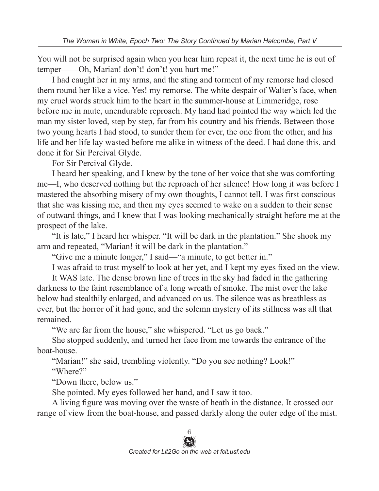You will not be surprised again when you hear him repeat it, the next time he is out of temper——Oh, Marian! don't! don't! you hurt me!"

I had caught her in my arms, and the sting and torment of my remorse had closed them round her like a vice. Yes! my remorse. The white despair of Walter's face, when my cruel words struck him to the heart in the summer-house at Limmeridge, rose before me in mute, unendurable reproach. My hand had pointed the way which led the man my sister loved, step by step, far from his country and his friends. Between those two young hearts I had stood, to sunder them for ever, the one from the other, and his life and her life lay wasted before me alike in witness of the deed. I had done this, and done it for Sir Percival Glyde.

For Sir Percival Glyde.

I heard her speaking, and I knew by the tone of her voice that she was comforting me—I, who deserved nothing but the reproach of her silence! How long it was before I mastered the absorbing misery of my own thoughts, I cannot tell. I was first conscious that she was kissing me, and then my eyes seemed to wake on a sudden to their sense of outward things, and I knew that I was looking mechanically straight before me at the prospect of the lake.

"It is late," I heard her whisper. "It will be dark in the plantation." She shook my arm and repeated, "Marian! it will be dark in the plantation."

"Give me a minute longer," I said—"a minute, to get better in."

I was afraid to trust myself to look at her yet, and I kept my eyes fixed on the view.

It WAS late. The dense brown line of trees in the sky had faded in the gathering darkness to the faint resemblance of a long wreath of smoke. The mist over the lake below had stealthily enlarged, and advanced on us. The silence was as breathless as ever, but the horror of it had gone, and the solemn mystery of its stillness was all that remained.

"We are far from the house," she whispered. "Let us go back."

She stopped suddenly, and turned her face from me towards the entrance of the boat-house.

"Marian!" she said, trembling violently. "Do you see nothing? Look!"

"Where?"

"Down there, below us."

She pointed. My eyes followed her hand, and I saw it too.

A living figure was moving over the waste of heath in the distance. It crossed our range of view from the boat-house, and passed darkly along the outer edge of the mist.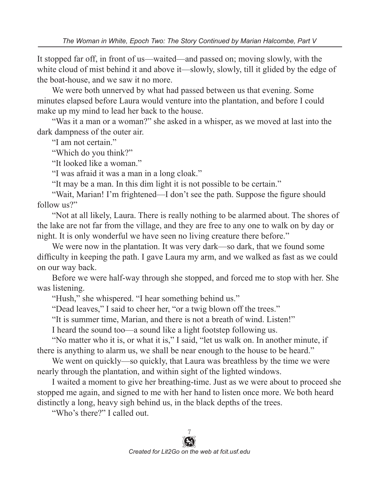It stopped far off, in front of us—waited—and passed on; moving slowly, with the white cloud of mist behind it and above it—slowly, slowly, till it glided by the edge of the boat-house, and we saw it no more.

We were both unnerved by what had passed between us that evening. Some minutes elapsed before Laura would venture into the plantation, and before I could make up my mind to lead her back to the house.

"Was it a man or a woman?" she asked in a whisper, as we moved at last into the dark dampness of the outer air.

"I am not certain."

"Which do you think?"

"It looked like a woman."

"I was afraid it was a man in a long cloak."

"It may be a man. In this dim light it is not possible to be certain."

"Wait, Marian! I'm frightened—I don't see the path. Suppose the figure should follow us?"

"Not at all likely, Laura. There is really nothing to be alarmed about. The shores of the lake are not far from the village, and they are free to any one to walk on by day or night. It is only wonderful we have seen no living creature there before."

We were now in the plantation. It was very dark—so dark, that we found some difficulty in keeping the path. I gave Laura my arm, and we walked as fast as we could on our way back.

Before we were half-way through she stopped, and forced me to stop with her. She was listening.

"Hush," she whispered. "I hear something behind us."

"Dead leaves," I said to cheer her, "or a twig blown off the trees."

"It is summer time, Marian, and there is not a breath of wind. Listen!"

I heard the sound too—a sound like a light footstep following us.

"No matter who it is, or what it is," I said, "let us walk on. In another minute, if there is anything to alarm us, we shall be near enough to the house to be heard."

We went on quickly—so quickly, that Laura was breathless by the time we were nearly through the plantation, and within sight of the lighted windows.

I waited a moment to give her breathing-time. Just as we were about to proceed she stopped me again, and signed to me with her hand to listen once more. We both heard distinctly a long, heavy sigh behind us, in the black depths of the trees.

"Who's there?" I called out.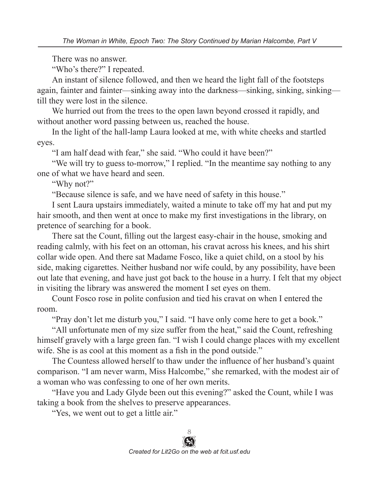There was no answer.

"Who's there?" I repeated.

An instant of silence followed, and then we heard the light fall of the footsteps again, fainter and fainter—sinking away into the darkness—sinking, sinking, sinking till they were lost in the silence.

We hurried out from the trees to the open lawn beyond crossed it rapidly, and without another word passing between us, reached the house.

In the light of the hall-lamp Laura looked at me, with white cheeks and startled eyes.

"I am half dead with fear," she said. "Who could it have been?"

"We will try to guess to-morrow," I replied. "In the meantime say nothing to any one of what we have heard and seen.

"Why not?"

"Because silence is safe, and we have need of safety in this house."

I sent Laura upstairs immediately, waited a minute to take off my hat and put my hair smooth, and then went at once to make my first investigations in the library, on pretence of searching for a book.

There sat the Count, filling out the largest easy-chair in the house, smoking and reading calmly, with his feet on an ottoman, his cravat across his knees, and his shirt collar wide open. And there sat Madame Fosco, like a quiet child, on a stool by his side, making cigarettes. Neither husband nor wife could, by any possibility, have been out late that evening, and have just got back to the house in a hurry. I felt that my object in visiting the library was answered the moment I set eyes on them.

Count Fosco rose in polite confusion and tied his cravat on when I entered the room.

"Pray don't let me disturb you," I said. "I have only come here to get a book."

"All unfortunate men of my size suffer from the heat," said the Count, refreshing himself gravely with a large green fan. "I wish I could change places with my excellent wife. She is as cool at this moment as a fish in the pond outside."

The Countess allowed herself to thaw under the influence of her husband's quaint comparison. "I am never warm, Miss Halcombe," she remarked, with the modest air of a woman who was confessing to one of her own merits.

"Have you and Lady Glyde been out this evening?" asked the Count, while I was taking a book from the shelves to preserve appearances.

"Yes, we went out to get a little air."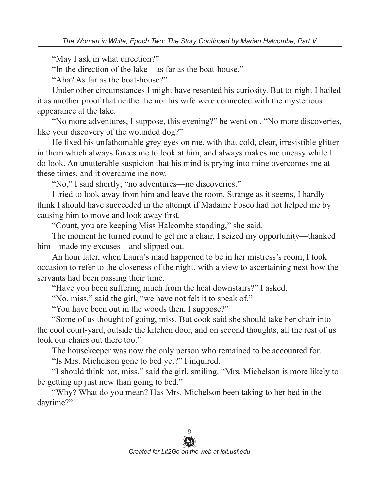"May I ask in what direction?"

"In the direction of the lake—as far as the boat-house."

"Aha? As far as the boat-house?"

Under other circumstances I might have resented his curiosity. But to-night I hailed it as another proof that neither he nor his wife were connected with the mysterious appearance at the lake.

"No more adventures, I suppose, this evening?" he went on . "No more discoveries, like your discovery of the wounded dog?"

He fixed his unfathomable grey eyes on me, with that cold, clear, irresistible glitter in them which always forces me to look at him, and always makes me uneasy while I do look. An unutterable suspicion that his mind is prying into mine overcomes me at these times, and it overcame me now.

"No," I said shortly; "no adventures—no discoveries."

I tried to look away from him and leave the room. Strange as it seems, I hardly think I should have succeeded in the attempt if Madame Fosco had not helped me by causing him to move and look away first.

"Count, you are keeping Miss Halcombe standing," she said.

The moment he turned round to get me a chair, I seized my opportunity—thanked him—made my excuses—and slipped out.

An hour later, when Laura's maid happened to be in her mistress's room, I took occasion to refer to the closeness of the night, with a view to ascertaining next how the servants had been passing their time.

"Have you been suffering much from the heat downstairs?" I asked.

"No, miss," said the girl, "we have not felt it to speak of."

"You have been out in the woods then, I suppose?"

"Some of us thought of going, miss. But cook said she should take her chair into the cool court-yard, outside the kitchen door, and on second thoughts, all the rest of us took our chairs out there too."

The housekeeper was now the only person who remained to be accounted for.

"Is Mrs. Michelson gone to bed yet?" I inquired.

"I should think not, miss," said the girl, smiling. "Mrs. Michelson is more likely to be getting up just now than going to bed."

"Why? What do you mean? Has Mrs. Michelson been taking to her bed in the daytime?"